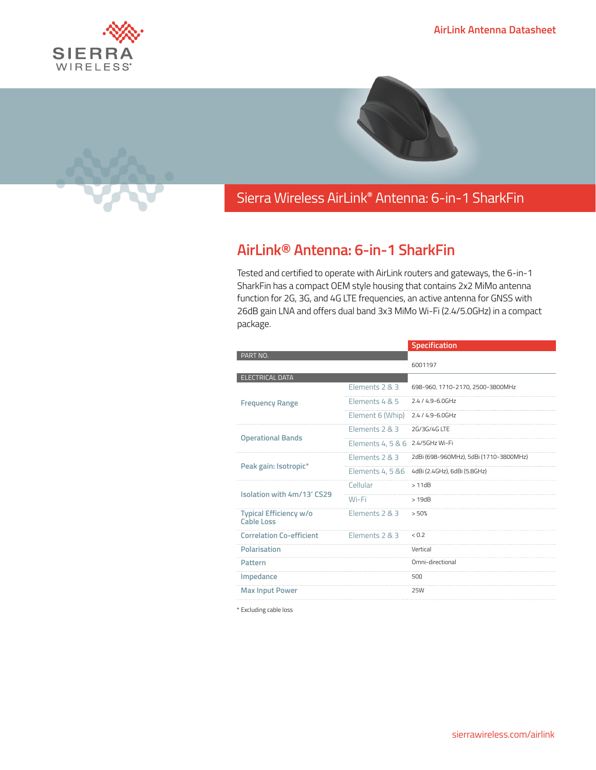







## Sierra Wireless **EMBEDDED MODULES HL SERIES** AirLink**®** Antenna: 6-in-1 SharkFin

## **AirLink® Antenna: 6-in-1 SharkFin**

Tested and certified to operate with AirLink routers and gateways, the 6-in-1 SharkFin has a compact OEM style housing that contains 2x2 MiMo antenna function for 2G, 3G, and 4G LTE frequencies, an active antenna for GNSS with 26dB gain LNA and offers dual band 3x3 MiMo Wi-Fi (2.4/5.0GHz) in a compact package.

| PART NO.<br>6001197<br><b>ELECTRICAL DATA</b><br>Elements 2 & 3<br>698-960, 1710-2170, 2500-3800MHz<br>Elements 4 & 5<br>$2.4/4.9 - 6.0$ GHz<br><b>Frequency Range</b><br>Element 6 (Whip)<br>2.4 / 4.9-6.0GHz<br>Flements $2R3$<br>2G/3G/4G ITF<br><b>Operational Bands</b><br>2.4/5GHz Wi-Fi<br>Elements 4, 5 & 6<br>Flements $2R3$<br>2dBi (698-960MHz), 5dBi (1710-3800MHz)<br>Peak gain: Isotropic*<br>Elements 4, 5 & 6<br>4dBi (2.4GHz), 6dBi (5.8GHz)<br>Cellular<br>>11dB<br>Isolation with 4m/13' CS29<br>Wi-Fi<br>>19dB<br>Typical Efficiency w/o<br>Elements 2 & 3<br>> 50%<br><b>Cable Loss</b><br><b>Correlation Co-efficient</b><br>Elements 2 & 3<br>0.7<br>Polarisation<br>Vertical<br>Omni-directional<br>Pattern<br>Impedance<br>$50\Omega$<br><b>25W</b> |                        | Specification |
|------------------------------------------------------------------------------------------------------------------------------------------------------------------------------------------------------------------------------------------------------------------------------------------------------------------------------------------------------------------------------------------------------------------------------------------------------------------------------------------------------------------------------------------------------------------------------------------------------------------------------------------------------------------------------------------------------------------------------------------------------------------------------|------------------------|---------------|
|                                                                                                                                                                                                                                                                                                                                                                                                                                                                                                                                                                                                                                                                                                                                                                              |                        |               |
|                                                                                                                                                                                                                                                                                                                                                                                                                                                                                                                                                                                                                                                                                                                                                                              |                        |               |
|                                                                                                                                                                                                                                                                                                                                                                                                                                                                                                                                                                                                                                                                                                                                                                              |                        |               |
|                                                                                                                                                                                                                                                                                                                                                                                                                                                                                                                                                                                                                                                                                                                                                                              |                        |               |
|                                                                                                                                                                                                                                                                                                                                                                                                                                                                                                                                                                                                                                                                                                                                                                              |                        |               |
|                                                                                                                                                                                                                                                                                                                                                                                                                                                                                                                                                                                                                                                                                                                                                                              |                        |               |
|                                                                                                                                                                                                                                                                                                                                                                                                                                                                                                                                                                                                                                                                                                                                                                              |                        |               |
|                                                                                                                                                                                                                                                                                                                                                                                                                                                                                                                                                                                                                                                                                                                                                                              |                        |               |
|                                                                                                                                                                                                                                                                                                                                                                                                                                                                                                                                                                                                                                                                                                                                                                              |                        |               |
|                                                                                                                                                                                                                                                                                                                                                                                                                                                                                                                                                                                                                                                                                                                                                                              |                        |               |
|                                                                                                                                                                                                                                                                                                                                                                                                                                                                                                                                                                                                                                                                                                                                                                              |                        |               |
|                                                                                                                                                                                                                                                                                                                                                                                                                                                                                                                                                                                                                                                                                                                                                                              |                        |               |
|                                                                                                                                                                                                                                                                                                                                                                                                                                                                                                                                                                                                                                                                                                                                                                              |                        |               |
|                                                                                                                                                                                                                                                                                                                                                                                                                                                                                                                                                                                                                                                                                                                                                                              |                        |               |
|                                                                                                                                                                                                                                                                                                                                                                                                                                                                                                                                                                                                                                                                                                                                                                              |                        |               |
|                                                                                                                                                                                                                                                                                                                                                                                                                                                                                                                                                                                                                                                                                                                                                                              |                        |               |
|                                                                                                                                                                                                                                                                                                                                                                                                                                                                                                                                                                                                                                                                                                                                                                              |                        |               |
|                                                                                                                                                                                                                                                                                                                                                                                                                                                                                                                                                                                                                                                                                                                                                                              | <b>Max Input Power</b> |               |

\* Excluding cable loss